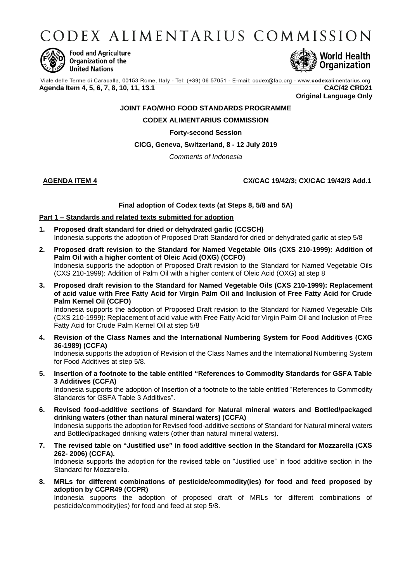CODEX ALIMENTARIUS COMMISSION



**Food and Agriculture** Organization of the **United Nations** 



Viale delle Terme di Caracalla, 00153 Rome, Italy - Tel: (+39) 06 57051 - E-mail: codex@fao.org - www.codexalimentarius.org **Agenda Item 4, 5, 6, 7, 8, 10, 11, 13.1 CAC/42 CRD21**

**Original Language Only**

# **JOINT FAO/WHO FOOD STANDARDS PROGRAMME**

# **CODEX ALIMENTARIUS COMMISSION**

# **Forty-second Session**

# **CICG, Geneva, Switzerland, 8 - 12 July 2019**

*Comments of Indonesia*

# **AGENDA ITEM 4 CX/CAC 19/42/3; CX/CAC 19/42/3 Add.1**

#### **Final adoption of Codex texts (at Steps 8, 5/8 and 5A)**

#### **Part 1 – Standards and related texts submitted for adoption**

- **1. Proposed draft standard for dried or dehydrated garlic (CCSCH)** Indonesia supports the adoption of Proposed Draft Standard for dried or dehydrated garlic at step 5/8
- **2. Proposed draft revision to the Standard for Named Vegetable Oils (CXS 210-1999): Addition of Palm Oil with a higher content of Oleic Acid (OXG) (CCFO)** Indonesia supports the adoption of Proposed Draft revision to the Standard for Named Vegetable Oils (CXS 210-1999): Addition of Palm Oil with a higher content of Oleic Acid (OXG) at step 8
- **3. Proposed draft revision to the Standard for Named Vegetable Oils (CXS 210-1999): Replacement of acid value with Free Fatty Acid for Virgin Palm Oil and Inclusion of Free Fatty Acid for Crude Palm Kernel Oil (CCFO)**

Indonesia supports the adoption of Proposed Draft revision to the Standard for Named Vegetable Oils (CXS 210-1999): Replacement of acid value with Free Fatty Acid for Virgin Palm Oil and Inclusion of Free Fatty Acid for Crude Palm Kernel Oil at step 5/8

**4. Revision of the Class Names and the International Numbering System for Food Additives (CXG 36-1989) (CCFA)**

Indonesia supports the adoption of Revision of the Class Names and the International Numbering System for Food Additives at step 5/8.

**5. Insertion of a footnote to the table entitled "References to Commodity Standards for GSFA Table 3 Additives (CCFA)**

Indonesia supports the adoption of Insertion of a footnote to the table entitled "References to Commodity Standards for GSFA Table 3 Additives".

- **6. Revised food-additive sections of Standard for Natural mineral waters and Bottled/packaged drinking waters (other than natural mineral waters) (CCFA)** Indonesia supports the adoption for Revised food-additive sections of Standard for Natural mineral waters and Bottled/packaged drinking waters (other than natural mineral waters).
- **7. The revised table on "Justified use" in food additive section in the Standard for Mozzarella (CXS 262- 2006) (CCFA).**

Indonesia supports the adoption for the revised table on "Justified use" in food additive section in the Standard for Mozzarella.

**8. MRLs for different combinations of pesticide/commodity(ies) for food and feed proposed by adoption by CCPR49 (CCPR)**

Indonesia supports the adoption of proposed draft of MRLs for different combinations of pesticide/commodity(ies) for food and feed at step 5/8.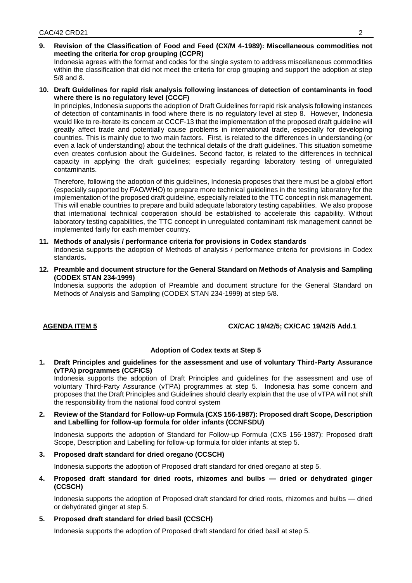**9. Revision of the Classification of Food and Feed (CX/M 4-1989): Miscellaneous commodities not meeting the criteria for crop grouping (CCPR)**

Indonesia agrees with the format and codes for the single system to address miscellaneous commodities within the classification that did not meet the criteria for crop grouping and support the adoption at step 5/8 and 8.

**10. Draft Guidelines for rapid risk analysis following instances of detection of contaminants in food where there is no regulatory level (CCCF)**

In principles, Indonesia supports the adoption of Draft Guidelines for rapid risk analysis following instances of detection of contaminants in food where there is no regulatory level at step 8. However, Indonesia would like to re-iterate its concern at CCCF-13 that the implementation of the proposed draft guideline will greatly affect trade and potentially cause problems in international trade, especially for developing countries. This is mainly due to two main factors. First, is related to the differences in understanding (or even a lack of understanding) about the technical details of the draft guidelines. This situation sometime even creates confusion about the Guidelines. Second factor, is related to the differences in technical capacity in applying the draft guidelines; especially regarding laboratory testing of unregulated contaminants.

Therefore, following the adoption of this guidelines, Indonesia proposes that there must be a global effort (especially supported by FAO/WHO) to prepare more technical guidelines in the testing laboratory for the implementation of the proposed draft guideline, especially related to the TTC concept in risk management. This will enable countries to prepare and build adequate laboratory testing capabilities. We also propose that international technical cooperation should be established to accelerate this capability. Without laboratory testing capabilities, the TTC concept in unregulated contaminant risk management cannot be implemented fairly for each member country.

#### **11. Methods of analysis / performance criteria for provisions in Codex standards**

Indonesia supports the adoption of Methods of analysis / performance criteria for provisions in Codex standards**.**

**12. Preamble and document structure for the General Standard on Methods of Analysis and Sampling (CODEX STAN 234-1999)** 

Indonesia supports the adoption of Preamble and document structure for the General Standard on Methods of Analysis and Sampling (CODEX STAN 234-1999) at step 5/8.

# **AGENDA ITEM 5 CX/CAC 19/42/5; CX/CAC 19/42/5 Add.1**

#### **Adoption of Codex texts at Step 5**

**1. Draft Principles and guidelines for the assessment and use of voluntary Third-Party Assurance (vTPA) programmes (CCFICS)**

Indonesia supports the adoption of Draft Principles and guidelines for the assessment and use of voluntary Third-Party Assurance (vTPA) programmes at step 5. Indonesia has some concern and proposes that the Draft Principles and Guidelines should clearly explain that the use of vTPA will not shift the responsibility from the national food control system

**2. Review of the Standard for Follow-up Formula (CXS 156-1987): Proposed draft Scope, Description and Labelling for follow-up formula for older infants (CCNFSDU)**

Indonesia supports the adoption of Standard for Follow-up Formula (CXS 156-1987): Proposed draft Scope, Description and Labelling for follow-up formula for older infants at step 5.

**3. Proposed draft standard for dried oregano (CCSCH)**

Indonesia supports the adoption of Proposed draft standard for dried oregano at step 5.

**4. Proposed draft standard for dried roots, rhizomes and bulbs — dried or dehydrated ginger (CCSCH)**

Indonesia supports the adoption of Proposed draft standard for dried roots, rhizomes and bulbs — dried or dehydrated ginger at step 5.

#### **5. Proposed draft standard for dried basil (CCSCH)**

Indonesia supports the adoption of Proposed draft standard for dried basil at step 5.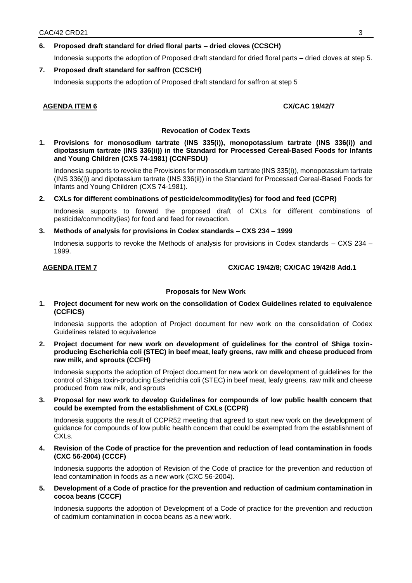# **6. Proposed draft standard for dried floral parts – dried cloves (CCSCH)**

Indonesia supports the adoption of Proposed draft standard for dried floral parts – dried cloves at step 5.

## **7. Proposed draft standard for saffron (CCSCH)**

Indonesia supports the adoption of Proposed draft standard for saffron at step 5

#### **AGENDA ITEM 6** CX/CAC 19/42/7

#### **Revocation of Codex Texts**

**1. Provisions for monosodium tartrate (INS 335(i)), monopotassium tartrate (INS 336(i)) and dipotassium tartrate (INS 336(ii)) in the Standard for Processed Cereal-Based Foods for Infants and Young Children (CXS 74-1981) (CCNFSDU)**

Indonesia supports to revoke the Provisions for monosodium tartrate (INS 335(i)), monopotassium tartrate (INS 336(i)) and dipotassium tartrate (INS 336(ii)) in the Standard for Processed Cereal-Based Foods for Infants and Young Children (CXS 74-1981).

**2. CXLs for different combinations of pesticide/commodity(ies) for food and feed (CCPR)**

Indonesia supports to forward the proposed draft of CXLs for different combinations of pesticide/commodity(ies) for food and feed for revoaction.

#### **3. Methods of analysis for provisions in Codex standards – CXS 234 – 1999**

Indonesia supports to revoke the Methods of analysis for provisions in Codex standards – CXS 234 – 1999.

# **AGENDA ITEM 7 CX/CAC 19/42/8; CX/CAC 19/42/8 Add.1**

# **Proposals for New Work**

**1. Project document for new work on the consolidation of Codex Guidelines related to equivalence (CCFICS)**

Indonesia supports the adoption of Project document for new work on the consolidation of Codex Guidelines related to equivalence

**2. Project document for new work on development of guidelines for the control of Shiga toxinproducing Escherichia coli (STEC) in beef meat, leafy greens, raw milk and cheese produced from raw milk, and sprouts (CCFH)**

Indonesia supports the adoption of Project document for new work on development of guidelines for the control of Shiga toxin-producing Escherichia coli (STEC) in beef meat, leafy greens, raw milk and cheese produced from raw milk, and sprouts

**3. Proposal for new work to develop Guidelines for compounds of low public health concern that could be exempted from the establishment of CXLs (CCPR)**

Indonesia supports the result of CCPR52 meeting that agreed to start new work on the development of guidance for compounds of low public health concern that could be exempted from the establishment of CXLs.

**4. Revision of the Code of practice for the prevention and reduction of lead contamination in foods (CXC 56-2004) (CCCF)**

Indonesia supports the adoption of Revision of the Code of practice for the prevention and reduction of lead contamination in foods as a new work (CXC 56-2004).

### **5. Development of a Code of practice for the prevention and reduction of cadmium contamination in cocoa beans (CCCF)**

Indonesia supports the adoption of Development of a Code of practice for the prevention and reduction of cadmium contamination in cocoa beans as a new work.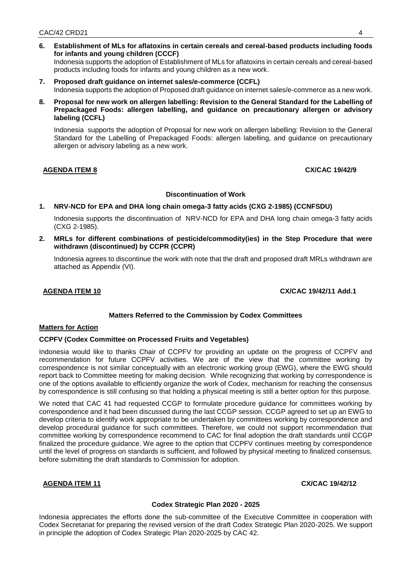- **6. Establishment of MLs for aflatoxins in certain cereals and cereal-based products including foods for infants and young children (CCCF)** Indonesia supports the adoption of Establishment of MLs for aflatoxins in certain cereals and cereal-based products including foods for infants and young children as a new work.
- **7. Proposed draft guidance on internet sales/e-commerce (CCFL)** Indonesia supports the adoption of Proposed draft guidance on internet sales/e-commerce as a new work.
- **8. Proposal for new work on allergen labelling: Revision to the General Standard for the Labelling of Prepackaged Foods: allergen labelling, and guidance on precautionary allergen or advisory labeling (CCFL)**

Indonesia supports the adoption of Proposal for new work on allergen labelling: Revision to the General Standard for the Labelling of Prepackaged Foods: allergen labelling, and guidance on precautionary allergen or advisory labeling as a new work.

# **AGENDA ITEM 8 CX/CAC 19/42/9**

#### **Discontinuation of Work**

# **1. NRV-NCD for EPA and DHA long chain omega-3 fatty acids (CXG 2-1985) (CCNFSDU)**

Indonesia supports the discontinuation of NRV-NCD for EPA and DHA long chain omega-3 fatty acids (CXG 2-1985).

**2. MRLs for different combinations of pesticide/commodity(ies) in the Step Procedure that were withdrawn (discontinued) by CCPR (CCPR)**

Indonesia agrees to discontinue the work with note that the draft and proposed draft MRLs withdrawn are attached as Appendix (VI).

**AGENDA ITEM 10 CX/CAC 19/42/11 Add.1**

# **Matters Referred to the Commission by Codex Committees**

#### **Matters for Action**

# **CCPFV (Codex Committee on Processed Fruits and Vegetables)**

Indonesia would like to thanks Chair of CCPFV for providing an update on the progress of CCPFV and recommendation for future CCPFV activities. We are of the view that the committee working by correspondence is not similar conceptually with an electronic working group (EWG), where the EWG should report back to Committee meeting for making decision. While recognizing that working by correspondence is one of the options available to efficiently organize the work of Codex, mechanism for reaching the consensus by correspondence is still confusing so that holding a physical meeting is still a better option for this purpose.

We noted that CAC 41 had requested CCGP to formulate procedure guidance for committees working by correspondence and it had been discussed during the last CCGP session. CCGP agreed to set up an EWG to develop criteria to identify work appropriate to be undertaken by committees working by correspondence and develop procedural guidance for such committees. Therefore, we could not support recommendation that committee working by correspondence recommend to CAC for final adoption the draft standards until CCGP finalized the procedure guidance. We agree to the option that CCPFV continues meeting by correspondence until the level of progress on standards is sufficient, and followed by physical meeting to finalized consensus, before submitting the draft standards to Commission for adoption.

# **AGENDA ITEM 11 CX/CAC 19/42/12**

# **Codex Strategic Plan 2020 - 2025**

Indonesia appreciates the efforts done the sub-committee of the Executive Committee in cooperation with Codex Secretariat for preparing the revised version of the draft Codex Strategic Plan 2020-2025. We support in principle the adoption of Codex Strategic Plan 2020-2025 by CAC 42.